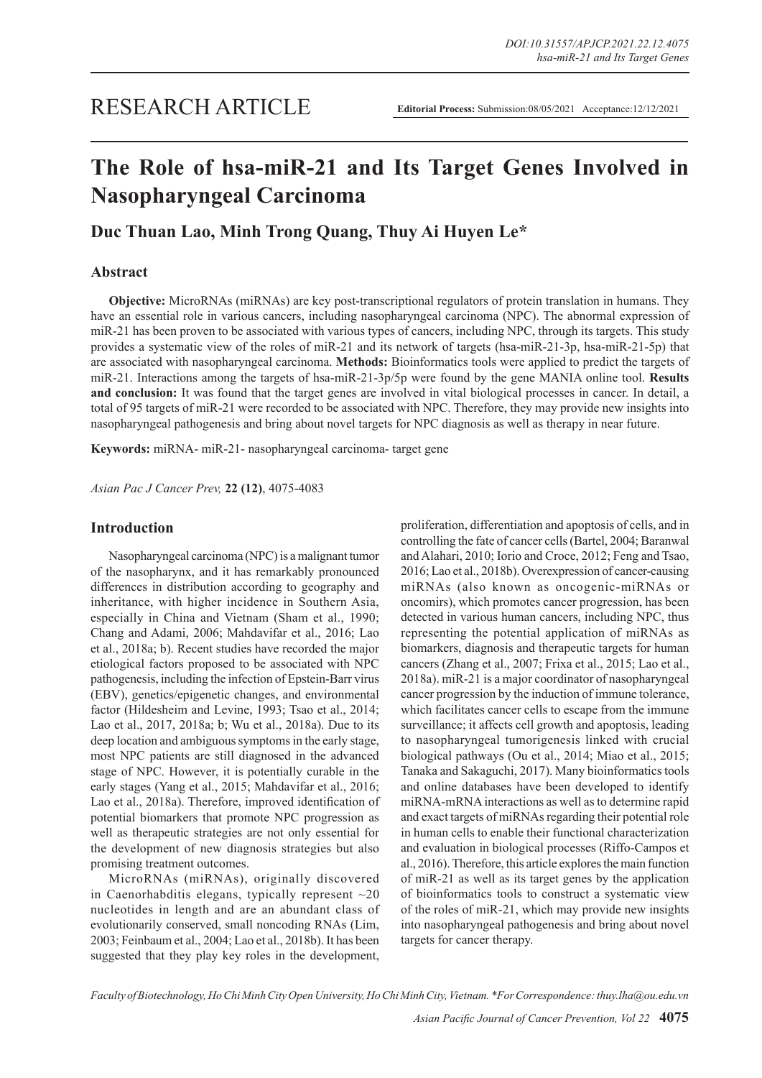# **The Role of hsa-miR-21 and Its Target Genes Involved in Nasopharyngeal Carcinoma**

# **Duc Thuan Lao, Minh Trong Quang, Thuy Ai Huyen Le\***

# **Abstract**

**Objective:** MicroRNAs (miRNAs) are key post-transcriptional regulators of protein translation in humans. They have an essential role in various cancers, including nasopharyngeal carcinoma (NPC). The abnormal expression of miR-21 has been proven to be associated with various types of cancers, including NPC, through its targets. This study provides a systematic view of the roles of miR-21 and its network of targets (hsa-miR-21-3p, hsa-miR-21-5p) that are associated with nasopharyngeal carcinoma. **Methods:** Bioinformatics tools were applied to predict the targets of miR-21. Interactions among the targets of hsa-miR-21-3p/5p were found by the gene MANIA online tool. **Results and conclusion:** It was found that the target genes are involved in vital biological processes in cancer. In detail, a total of 95 targets of miR-21 were recorded to be associated with NPC. Therefore, they may provide new insights into nasopharyngeal pathogenesis and bring about novel targets for NPC diagnosis as well as therapy in near future.

**Keywords:** miRNA- miR-21- nasopharyngeal carcinoma- target gene

*Asian Pac J Cancer Prev,* **22 (12)**, 4075-4083

#### **Introduction**

Nasopharyngeal carcinoma (NPC) is a malignant tumor of the nasopharynx, and it has remarkably pronounced differences in distribution according to geography and inheritance, with higher incidence in Southern Asia, especially in China and Vietnam (Sham et al., 1990; Chang and Adami, 2006; Mahdavifar et al., 2016; Lao et al., 2018a; b). Recent studies have recorded the major etiological factors proposed to be associated with NPC pathogenesis, including the infection of Epstein-Barr virus (EBV), genetics/epigenetic changes, and environmental factor (Hildesheim and Levine, 1993; Tsao et al., 2014; Lao et al., 2017, 2018a; b; Wu et al., 2018a). Due to its deep location and ambiguous symptoms in the early stage, most NPC patients are still diagnosed in the advanced stage of NPC. However, it is potentially curable in the early stages (Yang et al., 2015; Mahdavifar et al., 2016; Lao et al., 2018a). Therefore, improved identification of potential biomarkers that promote NPC progression as well as therapeutic strategies are not only essential for the development of new diagnosis strategies but also promising treatment outcomes.

MicroRNAs (miRNAs), originally discovered in Caenorhabditis elegans, typically represent  $\sim 20$ nucleotides in length and are an abundant class of evolutionarily conserved, small noncoding RNAs (Lim, 2003; Feinbaum et al., 2004; Lao et al., 2018b). It has been suggested that they play key roles in the development, proliferation, differentiation and apoptosis of cells, and in controlling the fate of cancer cells (Bartel, 2004; Baranwal and Alahari, 2010; Iorio and Croce, 2012; Feng and Tsao, 2016; Lao et al., 2018b). Overexpression of cancer-causing miRNAs (also known as oncogenic-miRNAs or oncomirs), which promotes cancer progression, has been detected in various human cancers, including NPC, thus representing the potential application of miRNAs as biomarkers, diagnosis and therapeutic targets for human cancers (Zhang et al., 2007; Frixa et al., 2015; Lao et al., 2018a). miR-21 is a major coordinator of nasopharyngeal cancer progression by the induction of immune tolerance, which facilitates cancer cells to escape from the immune surveillance; it affects cell growth and apoptosis, leading to nasopharyngeal tumorigenesis linked with crucial biological pathways (Ou et al., 2014; Miao et al., 2015; Tanaka and Sakaguchi, 2017). Many bioinformatics tools and online databases have been developed to identify miRNA-mRNA interactions as well as to determine rapid and exact targets of miRNAs regarding their potential role in human cells to enable their functional characterization and evaluation in biological processes (Riffo-Campos et al., 2016). Therefore, this article explores the main function of miR-21 as well as its target genes by the application of bioinformatics tools to construct a systematic view of the roles of miR-21, which may provide new insights into nasopharyngeal pathogenesis and bring about novel targets for cancer therapy.

*Faculty of Biotechnology, Ho Chi Minh City Open University, Ho Chi Minh City, Vietnam. \*For Correspondence: thuy.lha@ou.edu.vn*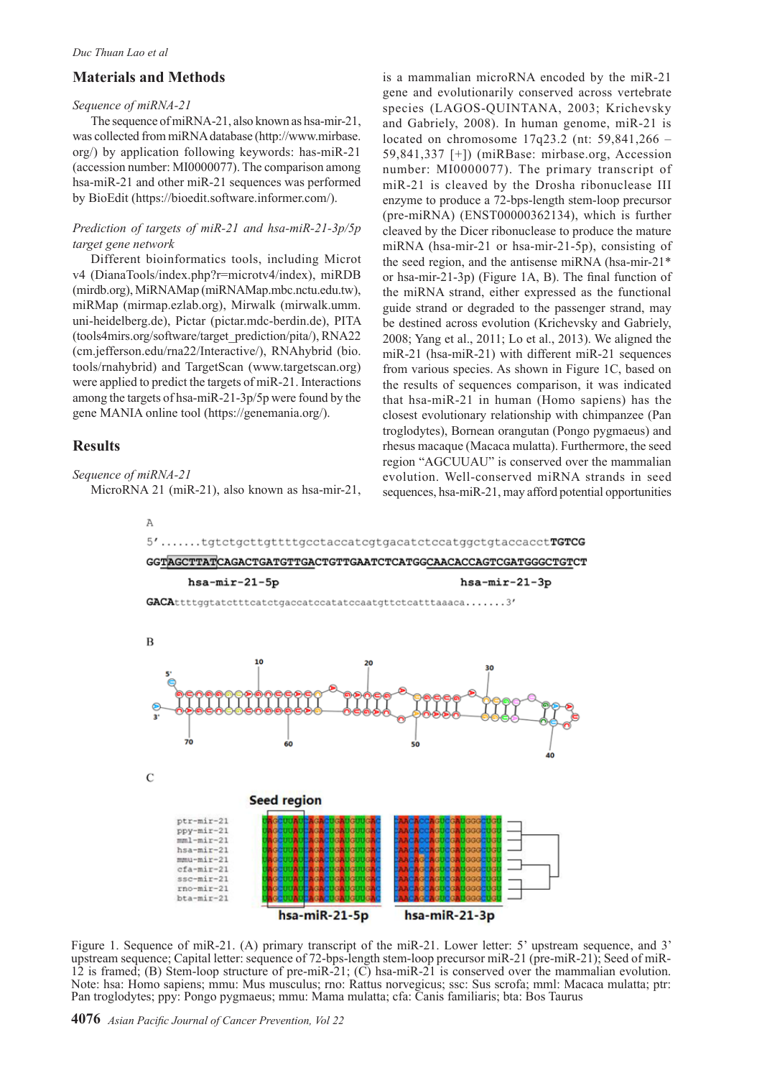## **Materials and Methods**

#### *Sequence of miRNA-21*

The sequence of miRNA-21, also known as hsa-mir-21, was collected from miRNA database (http://www.mirbase. org/) by application following keywords: has-miR-21 (accession number: MI0000077). The comparison among hsa-miR-21 and other miR-21 sequences was performed by BioEdit (https://bioedit.software.informer.com/).

#### *Prediction of targets of miR-21 and hsa-miR-21-3p/5p target gene network*

Different bioinformatics tools, including Microt v4 (DianaTools/index.php?r=microtv4/index), miRDB (mirdb.org), MiRNAMap (miRNAMap.mbc.nctu.edu.tw), miRMap (mirmap.ezlab.org), Mirwalk (mirwalk.umm. uni-heidelberg.de), Pictar (pictar.mdc-berdin.de), PITA (tools4mirs.org/software/target\_prediction/pita/), RNA22 (cm.jefferson.edu/rna22/Interactive/), RNAhybrid (bio. tools/rnahybrid) and TargetScan (www.targetscan.org) were applied to predict the targets of miR-21. Interactions among the targets of hsa-miR-21-3p/5p were found by the gene MANIA online tool (https://genemania.org/).

# **Results**

*Sequence of miRNA-21* 

MicroRNA 21 (miR-21), also known as hsa-mir-21,

is a mammalian microRNA encoded by the miR-21 gene and evolutionarily conserved across vertebrate species (LAGOS-QUINTANA, 2003; Krichevsky and Gabriely, 2008). In human genome, miR-21 is located on chromosome 17q23.2 (nt: 59,841,266 – 59,841,337 [+]) (miRBase: mirbase.org, Accession number: MI0000077). The primary transcript of miR-21 is cleaved by the Drosha ribonuclease III enzyme to produce a 72-bps-length stem-loop precursor (pre-miRNA) (ENST00000362134), which is further cleaved by the Dicer ribonuclease to produce the mature miRNA (hsa-mir-21 or hsa-mir-21-5p), consisting of the seed region, and the antisense miRNA (hsa-mir-21\* or hsa-mir-21-3p) (Figure 1A, B). The final function of the miRNA strand, either expressed as the functional guide strand or degraded to the passenger strand, may be destined across evolution (Krichevsky and Gabriely, 2008; Yang et al., 2011; Lo et al., 2013). We aligned the miR-21 (hsa-miR-21) with different miR-21 sequences from various species. As shown in Figure 1C, based on the results of sequences comparison, it was indicated that hsa-miR-21 in human (Homo sapiens) has the closest evolutionary relationship with chimpanzee (Pan troglodytes), Bornean orangutan (Pongo pygmaeus) and rhesus macaque (Macaca mulatta). Furthermore, the seed region "AGCUUAU" is conserved over the mammalian evolution. Well-conserved miRNA strands in seed sequences, hsa-miR-21, may afford potential opportunities



Figure 1. Sequence of miR-21. (A) primary transcript of the miR-21. Lower letter: 5' upstream sequence, and 3' upstream sequence; Capital letter: sequence of 72-bps-length stem-loop precursor miR-21 (pre-miR-21); Seed of miR-12 is framed; (B) Stem-loop structure of pre-miR-21; (C) hsa-miR-21 is conserved over the mammalian evolution. Note: hsa: Homo sapiens; mmu: Mus musculus; rno: Rattus norvegicus; ssc: Sus scrofa; mml: Macaca mulatta; ptr: Pan troglodytes; ppy: Pongo pygmaeus; mmu: Mama mulatta; cfa: Canis familiaris; bta: Bos Taurus

**4076** *Asian Pacific Journal of Cancer Prevention, Vol 22*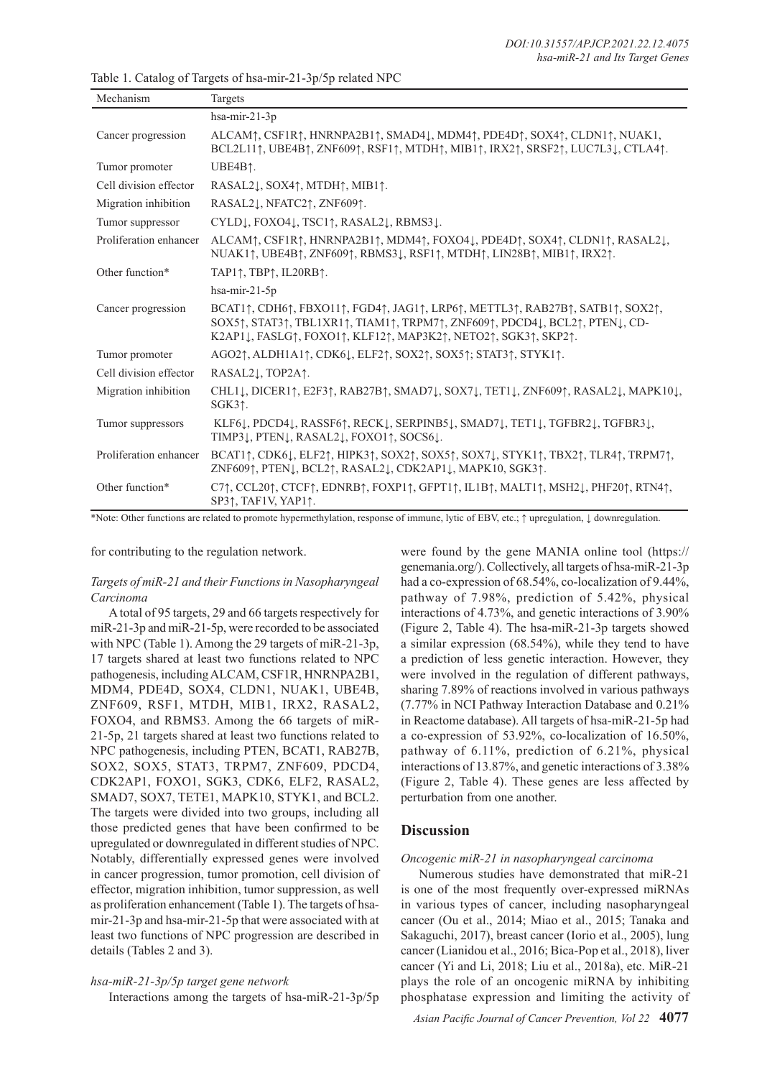| Mechanism              | Targets                                                                                                                                                                                                                                                                                                                                                                                                                                                           |
|------------------------|-------------------------------------------------------------------------------------------------------------------------------------------------------------------------------------------------------------------------------------------------------------------------------------------------------------------------------------------------------------------------------------------------------------------------------------------------------------------|
|                        | hsa-mir-21-3p                                                                                                                                                                                                                                                                                                                                                                                                                                                     |
| Cancer progression     | ALCAM <sup>†</sup> , CSF1R†, HNRNPA2B1†, SMAD4⊥, MDM4†, PDE4D†, SOX4†, CLDN1†, NUAK1,<br>BCL2L11 $\uparrow$ , UBE4B $\uparrow$ , ZNF609 $\uparrow$ , RSF1 $\uparrow$ , MTDH $\uparrow$ , MIB1 $\uparrow$ , IRX2 $\uparrow$ , SRSF2 $\uparrow$ , LUC7L3 $\downarrow$ , CTLA4 $\uparrow$ .                                                                                                                                                                          |
| Tumor promoter         | UBE4B1.                                                                                                                                                                                                                                                                                                                                                                                                                                                           |
| Cell division effector | RASAL2 $\downarrow$ , SOX4 $\uparrow$ , MTDH $\uparrow$ , MIB1 $\uparrow$ .                                                                                                                                                                                                                                                                                                                                                                                       |
| Migration inhibition   | RASAL2↓, NFATC2↑, ZNF609↑.                                                                                                                                                                                                                                                                                                                                                                                                                                        |
| Tumor suppressor       | CYLDĮ, FOXO4Į, TSC1↑, RASAL2Į, RBMS3Į.                                                                                                                                                                                                                                                                                                                                                                                                                            |
| Proliferation enhancer | ALCAM <sub>T</sub> , CSF1RT, HNRNPA2B1T, MDM4T, FOXO4L, PDE4DT, SOX4T, CLDN1T, RASAL2L,<br>NUAK1 $\uparrow$ , UBE4B $\uparrow$ , ZNF609 $\uparrow$ , RBMS3 $\downarrow$ , RSF1 $\uparrow$ , MTDH $\uparrow$ , LIN28B $\uparrow$ , MIB1 $\uparrow$ , IRX2 $\uparrow$ .                                                                                                                                                                                             |
| Other function*        | TAP1 $\uparrow$ , TBP $\uparrow$ , IL20RB $\uparrow$ .                                                                                                                                                                                                                                                                                                                                                                                                            |
|                        | hsa-mir- $21-5p$                                                                                                                                                                                                                                                                                                                                                                                                                                                  |
| Cancer progression     | BCAT1 $\uparrow$ , CDH6 $\uparrow$ , FBXO11 $\uparrow$ , FGD4 $\uparrow$ , JAG1 $\uparrow$ , LRP6 $\uparrow$ , METTL3 $\uparrow$ , RAB27B $\uparrow$ , SATB1 $\uparrow$ , SOX2 $\uparrow$ ,<br>SOX5 <sup>†</sup> , STAT3 <sup>†</sup> , TBL1XR1 <sup>†</sup> , TIAM1 <sup>†</sup> , TRPM7 <sup>†</sup> , ZNF609 <sup>†</sup> , PDCD4 <sup>†</sup> , BCL2 <sup>†</sup> , PTEN <sup>†</sup> , CD-<br>K2AP11, FASLG1, FOXO11, KLF121, MAP3K21, NETO21, SGK31, SKP21. |
| Tumor promoter         | AGO2 $\uparrow$ , ALDH1A1 $\uparrow$ , CDK6 $\downarrow$ , ELF2 $\uparrow$ , SOX2 $\uparrow$ , SOX5 $\uparrow$ ; STAT3 $\uparrow$ , STYK1 $\uparrow$ .                                                                                                                                                                                                                                                                                                            |
| Cell division effector | RASAL21, TOP2A1.                                                                                                                                                                                                                                                                                                                                                                                                                                                  |
| Migration inhibition   | CHL11, DICER11, E2F31, RAB27B1, SMAD71, SOX71, TET11, ZNF6091, RASAL21, MAPK101,<br>SGK31.                                                                                                                                                                                                                                                                                                                                                                        |
| Tumor suppressors      | KLF61, PDCD41, RASSF61, RECK1, SERPINB51, SMAD71, TET11, TGFBR21, TGFBR31,<br>TIMP31, PTEN1, RASAL21, FOXO11, SOCS61.                                                                                                                                                                                                                                                                                                                                             |
| Proliferation enhancer | $BCAT1$ <sup><math>\dagger</math></sup> , CDK61, ELF2 $\uparrow$ , HIPK3 $\uparrow$ , SOX2 $\uparrow$ , SOX5 $\uparrow$ , SOX71, STYK1 $\uparrow$ , TBX2 $\uparrow$ , TLR4 $\uparrow$ , TRPM7 $\uparrow$ ,<br>ZNF609↑, PTEN↓, BCL2↑, RASAL2↓, CDK2AP1↓, MAPK10, SGK3↑.                                                                                                                                                                                            |
| Other function*        | C71, CCL201, CTCF1, EDNRB1, FOXP11, GFPT11, IL1B1, MALT11, MSH21, PHF201, RTN41,<br>SP31, TAF1V, YAP11.                                                                                                                                                                                                                                                                                                                                                           |

Table 1. Catalog of Targets of hsa-mir-21-3p/5p related NPC

\*Note: Other functions are related to promote hypermethylation, response of immune, lytic of EBV, etc.; ↑ upregulation, ↓ downregulation.

for contributing to the regulation network.

### *Targets of miR-21 and their Functions in Nasopharyngeal Carcinoma*

A total of 95 targets, 29 and 66 targets respectively for miR-21-3p and miR-21-5p, were recorded to be associated with NPC (Table 1). Among the 29 targets of miR-21-3p, 17 targets shared at least two functions related to NPC pathogenesis, including ALCAM, CSF1R, HNRNPA2B1, MDM4, PDE4D, SOX4, CLDN1, NUAK1, UBE4B, ZNF609, RSF1, MTDH, MIB1, IRX2, RASAL2, FOXO4, and RBMS3. Among the 66 targets of miR-21-5p, 21 targets shared at least two functions related to NPC pathogenesis, including PTEN, BCAT1, RAB27B, SOX2, SOX5, STAT3, TRPM7, ZNF609, PDCD4, CDK2AP1, FOXO1, SGK3, CDK6, ELF2, RASAL2, SMAD7, SOX7, TETE1, MAPK10, STYK1, and BCL2. The targets were divided into two groups, including all those predicted genes that have been confirmed to be upregulated or downregulated in different studies of NPC. Notably, differentially expressed genes were involved in cancer progression, tumor promotion, cell division of effector, migration inhibition, tumor suppression, as well as proliferation enhancement (Table 1). The targets of hsamir-21-3p and hsa-mir-21-5p that were associated with at least two functions of NPC progression are described in details (Tables 2 and 3).

#### *hsa-miR-21-3p/5p target gene network*

Interactions among the targets of hsa-miR-21-3p/5p

were found by the gene MANIA online tool (https:// genemania.org/). Collectively, all targets of hsa-miR-21-3p had a co-expression of 68.54%, co-localization of 9.44%, pathway of 7.98%, prediction of 5.42%, physical interactions of 4.73%, and genetic interactions of 3.90% (Figure 2, Table 4). The hsa-miR-21-3p targets showed a similar expression (68.54%), while they tend to have a prediction of less genetic interaction. However, they were involved in the regulation of different pathways, sharing 7.89% of reactions involved in various pathways (7.77% in NCI Pathway Interaction Database and 0.21% in Reactome database). All targets of hsa-miR-21-5p had a co-expression of 53.92%, co-localization of 16.50%, pathway of 6.11%, prediction of 6.21%, physical interactions of 13.87%, and genetic interactions of 3.38% (Figure 2, Table 4). These genes are less affected by perturbation from one another.

# **Discussion**

### *Oncogenic miR-21 in nasopharyngeal carcinoma*

Numerous studies have demonstrated that miR-21 is one of the most frequently over-expressed miRNAs in various types of cancer, including nasopharyngeal cancer (Ou et al., 2014; Miao et al., 2015; Tanaka and Sakaguchi, 2017), breast cancer (Iorio et al., 2005), lung cancer (Lianidou et al., 2016; Bica-Pop et al., 2018), liver cancer (Yi and Li, 2018; Liu et al., 2018a), etc. MiR-21 plays the role of an oncogenic miRNA by inhibiting phosphatase expression and limiting the activity of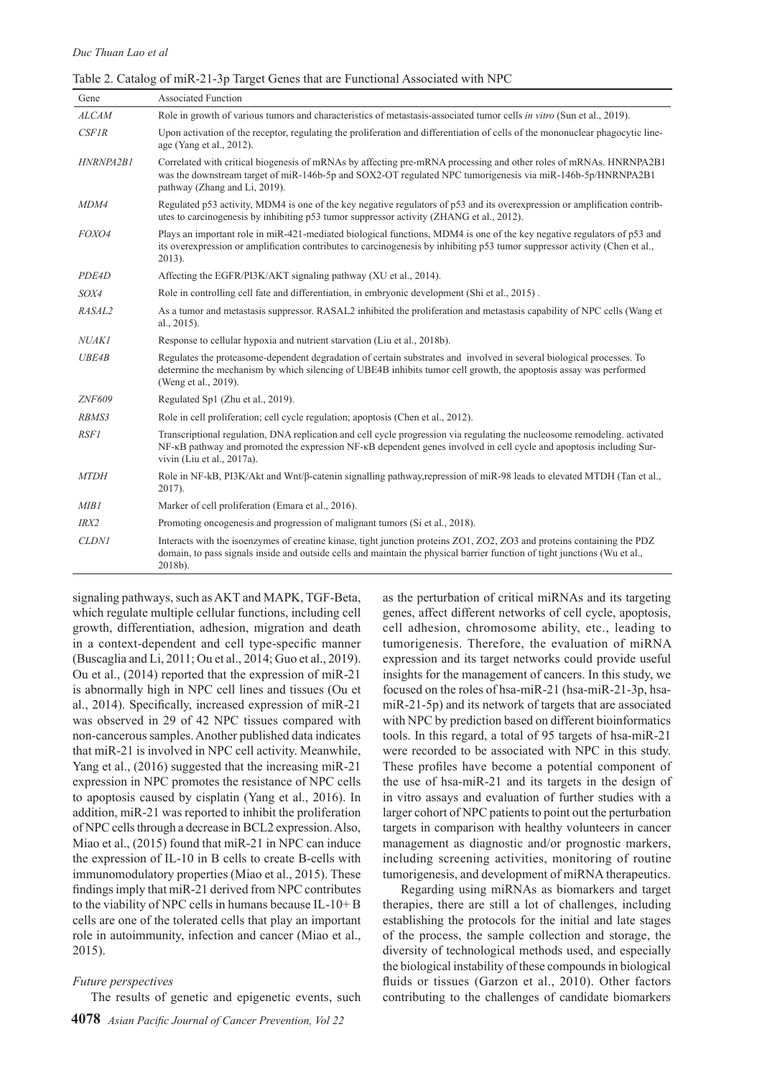|  | Table 2. Catalog of miR-21-3p Target Genes that are Functional Associated with NPC |  |  |  |  |  |
|--|------------------------------------------------------------------------------------|--|--|--|--|--|
|--|------------------------------------------------------------------------------------|--|--|--|--|--|

| Gene         | <b>Associated Function</b>                                                                                                                                                                                                                                                      |
|--------------|---------------------------------------------------------------------------------------------------------------------------------------------------------------------------------------------------------------------------------------------------------------------------------|
| <b>ALCAM</b> | Role in growth of various tumors and characteristics of metastasis-associated tumor cells in vitro (Sun et al., 2019).                                                                                                                                                          |
| CSFIR        | Upon activation of the receptor, regulating the proliferation and differentiation of cells of the mononuclear phagocytic line-<br>age (Yang et al., 2012).                                                                                                                      |
| HNRNPA2B1    | Correlated with critical biogenesis of mRNAs by affecting pre-mRNA processing and other roles of mRNAs. HNRNPA2B1<br>was the downstream target of miR-146b-5p and SOX2-OT regulated NPC tumorigenesis via miR-146b-5p/HNRNPA2B1<br>pathway (Zhang and Li, 2019).                |
| MDM4         | Regulated p53 activity, MDM4 is one of the key negative regulators of p53 and its overexpression or amplification contrib-<br>utes to carcinogenesis by inhibiting p53 tumor suppressor activity (ZHANG et al., 2012).                                                          |
| FOXO4        | Plays an important role in miR-421-mediated biological functions, MDM4 is one of the key negative regulators of p53 and<br>its overexpression or amplification contributes to carcinogenesis by inhibiting p53 tumor suppressor activity (Chen et al.,<br>2013).                |
| PDE4D        | Affecting the EGFR/PI3K/AKT signaling pathway (XU et al., 2014).                                                                                                                                                                                                                |
| SOX4         | Role in controlling cell fate and differentiation, in embryonic development (Shi et al., 2015).                                                                                                                                                                                 |
| RASAL2       | As a tumor and metastasis suppressor. RASAL2 inhibited the proliferation and metastasis capability of NPC cells (Wang et<br>al., $2015$ ).                                                                                                                                      |
| <b>NUAKI</b> | Response to cellular hypoxia and nutrient starvation (Liu et al., 2018b).                                                                                                                                                                                                       |
| <b>UBE4B</b> | Regulates the proteasome-dependent degradation of certain substrates and involved in several biological processes. To<br>determine the mechanism by which silencing of UBE4B inhibits tumor cell growth, the apoptosis assay was performed<br>(Weng et al., 2019).              |
| ZNF609       | Regulated Sp1 (Zhu et al., 2019).                                                                                                                                                                                                                                               |
| RBMS3        | Role in cell proliferation; cell cycle regulation; apoptosis (Chen et al., 2012).                                                                                                                                                                                               |
| <b>RSF1</b>  | Transcriptional regulation, DNA replication and cell cycle progression via regulating the nucleosome remodeling, activated<br>NF-kB pathway and promoted the expression NF-kB dependent genes involved in cell cycle and apoptosis including Sur-<br>vivin (Liu et al., 2017a). |
| <b>MTDH</b>  | Role in NF-kB, PI3K/Akt and Wnt/β-catenin signalling pathway, repression of miR-98 leads to elevated MTDH (Tan et al.,<br>2017).                                                                                                                                                |
| MIBI         | Marker of cell proliferation (Emara et al., 2016).                                                                                                                                                                                                                              |
| IRX2         | Promoting oncogenesis and progression of malignant tumors (Si et al., 2018).                                                                                                                                                                                                    |
| <b>CLDN1</b> | Interacts with the isoenzymes of creatine kinase, tight junction proteins ZO1, ZO2, ZO3 and proteins containing the PDZ<br>domain, to pass signals inside and outside cells and maintain the physical barrier function of tight junctions (Wu et al.,<br>2018b).                |

signaling pathways, such as AKT and MAPK, TGF-Beta, which regulate multiple cellular functions, including cell growth, differentiation, adhesion, migration and death in a context-dependent and cell type-specific manner (Buscaglia and Li, 2011; Ou et al., 2014; Guo et al., 2019). Ou et al., (2014) reported that the expression of miR-21 is abnormally high in NPC cell lines and tissues (Ou et al., 2014). Specifically, increased expression of miR-21 was observed in 29 of 42 NPC tissues compared with non-cancerous samples. Another published data indicates that miR-21 is involved in NPC cell activity. Meanwhile, Yang et al., (2016) suggested that the increasing miR-21 expression in NPC promotes the resistance of NPC cells to apoptosis caused by cisplatin (Yang et al., 2016). In addition, miR-21 was reported to inhibit the proliferation of NPC cells through a decrease in BCL2 expression. Also, Miao et al., (2015) found that miR-21 in NPC can induce the expression of IL-10 in B cells to create B-cells with immunomodulatory properties (Miao et al., 2015). These findings imply that miR-21 derived from NPC contributes to the viability of NPC cells in humans because IL-10+ B cells are one of the tolerated cells that play an important role in autoimmunity, infection and cancer (Miao et al., 2015).

#### *Future perspectives*

The results of genetic and epigenetic events, such

as the perturbation of critical miRNAs and its targeting genes, affect different networks of cell cycle, apoptosis, cell adhesion, chromosome ability, etc., leading to tumorigenesis. Therefore, the evaluation of miRNA expression and its target networks could provide useful insights for the management of cancers. In this study, we focused on the roles of hsa-miR-21 (hsa-miR-21-3p, hsamiR-21-5p) and its network of targets that are associated with NPC by prediction based on different bioinformatics tools. In this regard, a total of 95 targets of hsa-miR-21 were recorded to be associated with NPC in this study. These profiles have become a potential component of the use of hsa-miR-21 and its targets in the design of in vitro assays and evaluation of further studies with a larger cohort of NPC patients to point out the perturbation targets in comparison with healthy volunteers in cancer management as diagnostic and/or prognostic markers, including screening activities, monitoring of routine tumorigenesis, and development of miRNA therapeutics.

Regarding using miRNAs as biomarkers and target therapies, there are still a lot of challenges, including establishing the protocols for the initial and late stages of the process, the sample collection and storage, the diversity of technological methods used, and especially the biological instability of these compounds in biological fluids or tissues (Garzon et al., 2010). Other factors contributing to the challenges of candidate biomarkers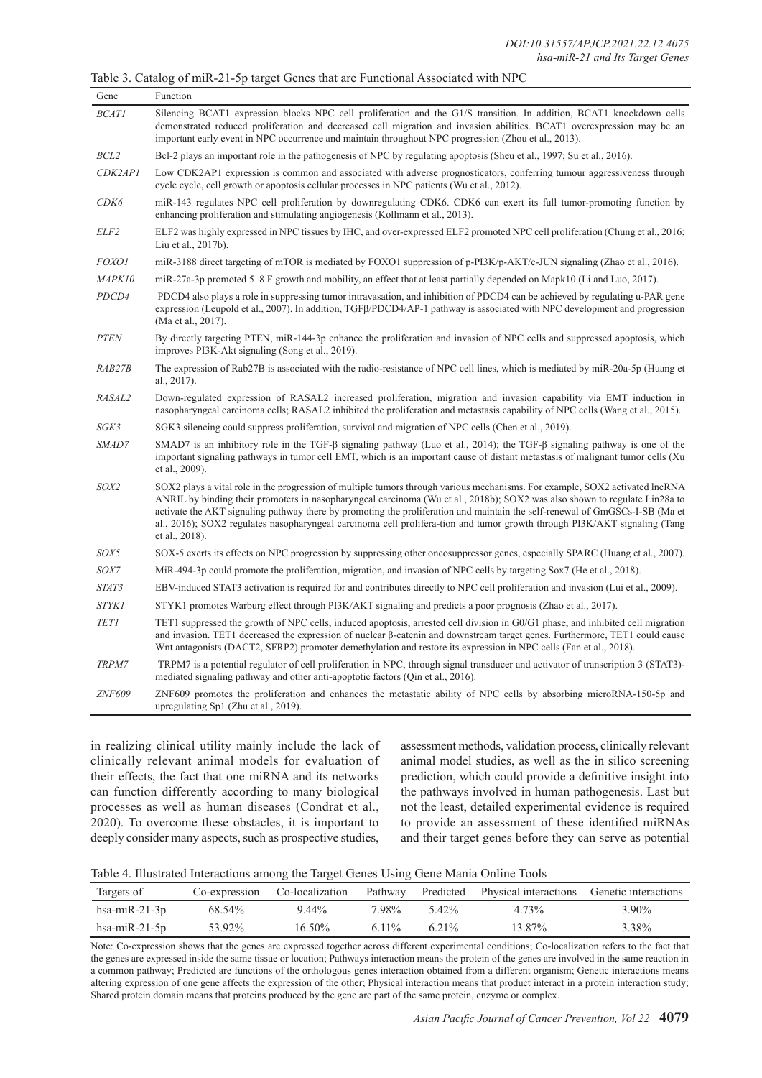|  |  |  | Table 3. Catalog of miR-21-5p target Genes that are Functional Associated with NPC |  |  |  |  |
|--|--|--|------------------------------------------------------------------------------------|--|--|--|--|
|--|--|--|------------------------------------------------------------------------------------|--|--|--|--|

| Gene             | Function                                                                                                                                                                                                                                                                                                                                                                                                                                                                                                                                 |
|------------------|------------------------------------------------------------------------------------------------------------------------------------------------------------------------------------------------------------------------------------------------------------------------------------------------------------------------------------------------------------------------------------------------------------------------------------------------------------------------------------------------------------------------------------------|
| <b>BCAT1</b>     | Silencing BCAT1 expression blocks NPC cell proliferation and the G1/S transition. In addition, BCAT1 knockdown cells<br>demonstrated reduced proliferation and decreased cell migration and invasion abilities. BCAT1 overexpression may be an<br>important early event in NPC occurrence and maintain throughout NPC progression (Zhou et al., 2013).                                                                                                                                                                                   |
| BCL <sub>2</sub> | Bcl-2 plays an important role in the pathogenesis of NPC by regulating apoptosis (Sheu et al., 1997; Su et al., 2016).                                                                                                                                                                                                                                                                                                                                                                                                                   |
| CDK2AP1          | Low CDK2AP1 expression is common and associated with adverse prognosticators, conferring tumour aggressiveness through<br>cycle cycle, cell growth or apoptosis cellular processes in NPC patients (Wu et al., 2012).                                                                                                                                                                                                                                                                                                                    |
| CDK6             | miR-143 regulates NPC cell proliferation by downregulating CDK6. CDK6 can exert its full tumor-promoting function by<br>enhancing proliferation and stimulating angiogenesis (Kollmann et al., 2013).                                                                                                                                                                                                                                                                                                                                    |
| ELF2             | ELF2 was highly expressed in NPC tissues by IHC, and over-expressed ELF2 promoted NPC cell proliferation (Chung et al., 2016;<br>Liu et al., 2017b).                                                                                                                                                                                                                                                                                                                                                                                     |
| <i>FOXO1</i>     | miR-3188 direct targeting of mTOR is mediated by FOXO1 suppression of p-PI3K/p-AKT/c-JUN signaling (Zhao et al., 2016).                                                                                                                                                                                                                                                                                                                                                                                                                  |
| MAPK10           | miR-27a-3p promoted 5–8 F growth and mobility, an effect that at least partially depended on Mapk10 (Li and Luo, 2017).                                                                                                                                                                                                                                                                                                                                                                                                                  |
| PDCD4            | PDCD4 also plays a role in suppressing tumor intravasation, and inhibition of PDCD4 can be achieved by regulating u-PAR gene<br>expression (Leupold et al., 2007). In addition, TGFB/PDCD4/AP-1 pathway is associated with NPC development and progression<br>(Ma et al., 2017).                                                                                                                                                                                                                                                         |
| <b>PTEN</b>      | By directly targeting PTEN, miR-144-3p enhance the proliferation and invasion of NPC cells and suppressed apoptosis, which<br>improves PI3K-Akt signaling (Song et al., 2019).                                                                                                                                                                                                                                                                                                                                                           |
| RAB27B           | The expression of Rab27B is associated with the radio-resistance of NPC cell lines, which is mediated by miR-20a-5p (Huang et<br>al., 2017).                                                                                                                                                                                                                                                                                                                                                                                             |
| RASAL2           | Down-regulated expression of RASAL2 increased proliferation, migration and invasion capability via EMT induction in<br>nasopharyngeal carcinoma cells; RASAL2 inhibited the proliferation and metastasis capability of NPC cells (Wang et al., 2015).                                                                                                                                                                                                                                                                                    |
| SGK3             | SGK3 silencing could suppress proliferation, survival and migration of NPC cells (Chen et al., 2019).                                                                                                                                                                                                                                                                                                                                                                                                                                    |
| SMAD7            | SMAD7 is an inhibitory role in the TGF- $\beta$ signaling pathway (Luo et al., 2014); the TGF- $\beta$ signaling pathway is one of the<br>important signaling pathways in tumor cell EMT, which is an important cause of distant metastasis of malignant tumor cells (Xu<br>et al., 2009).                                                                                                                                                                                                                                               |
| SOX2             | SOX2 plays a vital role in the progression of multiple tumors through various mechanisms. For example, SOX2 activated lncRNA<br>ANRIL by binding their promoters in nasopharyngeal carcinoma (Wu et al., 2018b); SOX2 was also shown to regulate Lin28a to<br>activate the AKT signaling pathway there by promoting the proliferation and maintain the self-renewal of GmGSCs-I-SB (Ma et<br>al., 2016); SOX2 regulates nasopharyngeal carcinoma cell prolifera-tion and tumor growth through PI3K/AKT signaling (Tang<br>et al., 2018). |
| SOX5             | SOX-5 exerts its effects on NPC progression by suppressing other oncosuppressor genes, especially SPARC (Huang et al., 2007).                                                                                                                                                                                                                                                                                                                                                                                                            |
| SOX7             | MiR-494-3p could promote the proliferation, migration, and invasion of NPC cells by targeting Sox7 (He et al., 2018).                                                                                                                                                                                                                                                                                                                                                                                                                    |
| STAT3            | EBV-induced STAT3 activation is required for and contributes directly to NPC cell proliferation and invasion (Lui et al., 2009).                                                                                                                                                                                                                                                                                                                                                                                                         |
| <b>STYK1</b>     | STYK1 promotes Warburg effect through PI3K/AKT signaling and predicts a poor prognosis (Zhao et al., 2017).                                                                                                                                                                                                                                                                                                                                                                                                                              |
| <b>TET1</b>      | TET1 suppressed the growth of NPC cells, induced apoptosis, arrested cell division in G0/G1 phase, and inhibited cell migration<br>and invasion. TET1 decreased the expression of nuclear β-catenin and downstream target genes. Furthermore, TET1 could cause<br>What antagonists (DACT2, SFRP2) promoter demethylation and restore its expression in NPC cells (Fan et al., 2018).                                                                                                                                                     |
| TRPM7            | TRPM7 is a potential regulator of cell proliferation in NPC, through signal transducer and activator of transcription 3 (STAT3)-<br>mediated signaling pathway and other anti-apoptotic factors (Qin et al., 2016).                                                                                                                                                                                                                                                                                                                      |
| <b>ZNF609</b>    | ZNF609 promotes the proliferation and enhances the metastatic ability of NPC cells by absorbing microRNA-150-5p and<br>upregulating Sp1 (Zhu et al., 2019).                                                                                                                                                                                                                                                                                                                                                                              |

in realizing clinical utility mainly include the lack of clinically relevant animal models for evaluation of their effects, the fact that one miRNA and its networks can function differently according to many biological processes as well as human diseases (Condrat et al., 2020). To overcome these obstacles, it is important to deeply consider many aspects, such as prospective studies,

assessment methods, validation process, clinically relevant animal model studies, as well as the in silico screening prediction, which could provide a definitive insight into the pathways involved in human pathogenesis. Last but not the least, detailed experimental evidence is required to provide an assessment of these identified miRNAs and their target genes before they can serve as potential

| Table 4. Illustrated Interactions among the Target Genes Using Gene Mania Online Tools |  |  |  |
|----------------------------------------------------------------------------------------|--|--|--|
|----------------------------------------------------------------------------------------|--|--|--|

| Targets of       |        |           |        |         | Co-expression Co-localization Pathway Predicted Physical interactions Genetic interactions |                   |
|------------------|--------|-----------|--------|---------|--------------------------------------------------------------------------------------------|-------------------|
| hsa-mi $R-21-3p$ | 68.54% | 9.44%     | 7.98%  | 5.42%   | 4.73%                                                                                      | 3.90 <sup>%</sup> |
| hsa-mi $R-21-5p$ | 53.92% | $16.50\%$ | 6.11\% | $621\%$ | 13.87%                                                                                     | 3.38%             |

Note: Co-expression shows that the genes are expressed together across different experimental conditions; Co-localization refers to the fact that the genes are expressed inside the same tissue or location; Pathways interaction means the protein of the genes are involved in the same reaction in a common pathway; Predicted are functions of the orthologous genes interaction obtained from a different organism; Genetic interactions means altering expression of one gene affects the expression of the other; Physical interaction means that product interact in a protein interaction study; Shared protein domain means that proteins produced by the gene are part of the same protein, enzyme or complex.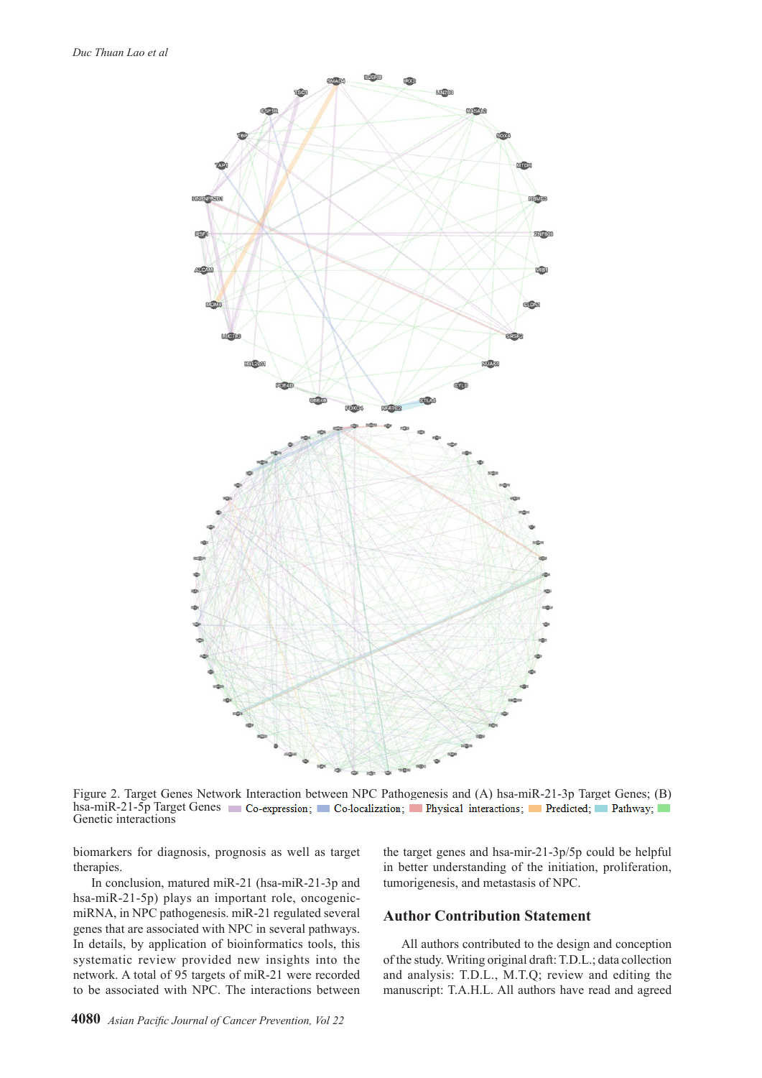

Figure 2. Target Genes Network Interaction between NPC Pathogenesis and (A) hsa-miR-21-3p Target Genes; (B) hsa-miR-21-5p Target Genes. Co-expression; Co-localization; Physical interactions; Predicted; Pathway; Genetic interactions

biomarkers for diagnosis, prognosis as well as target therapies.

In conclusion, matured miR-21 (hsa-miR-21-3p and hsa-miR-21-5p) plays an important role, oncogenicmiRNA, in NPC pathogenesis. miR-21 regulated several genes that are associated with NPC in several pathways. In details, by application of bioinformatics tools, this systematic review provided new insights into the network. A total of 95 targets of miR-21 were recorded to be associated with NPC. The interactions between the target genes and hsa-mir-21-3p/5p could be helpful in better understanding of the initiation, proliferation, tumorigenesis, and metastasis of NPC.

# **Author Contribution Statement**

All authors contributed to the design and conception of the study. Writing original draft: T.D.L.; data collection and analysis: T.D.L., M.T.Q; review and editing the manuscript: T.A.H.L. All authors have read and agreed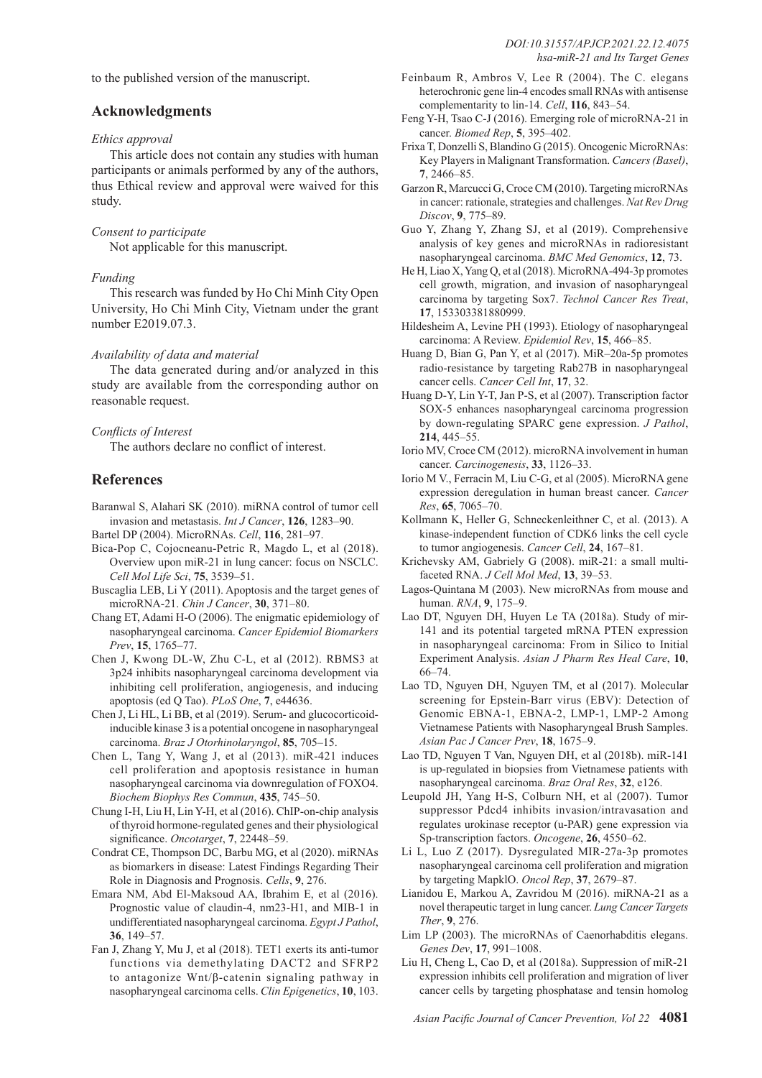to the published version of the manuscript.

# **Acknowledgments**

#### *Ethics approval*

This article does not contain any studies with human participants or animals performed by any of the authors, thus Ethical review and approval were waived for this study.

#### *Consent to participate*

Not applicable for this manuscript.

#### *Funding*

This research was funded by Ho Chi Minh City Open University, Ho Chi Minh City, Vietnam under the grant number E2019.07.3.

#### *Availability of data and material*

The data generated during and/or analyzed in this study are available from the corresponding author on reasonable request.

#### *Conflicts of Interest*

The authors declare no conflict of interest.

### **References**

- Baranwal S, Alahari SK (2010). miRNA control of tumor cell invasion and metastasis. *Int J Cancer*, **126**, 1283–90.
- Bartel DP (2004). MicroRNAs. *Cell*, **116**, 281–97.
- Bica-Pop C, Cojocneanu-Petric R, Magdo L, et al (2018). Overview upon miR-21 in lung cancer: focus on NSCLC. *Cell Mol Life Sci*, **75**, 3539–51.
- Buscaglia LEB, Li Y (2011). Apoptosis and the target genes of microRNA-21. *Chin J Cancer*, **30**, 371–80.
- Chang ET, Adami H-O (2006). The enigmatic epidemiology of nasopharyngeal carcinoma. *Cancer Epidemiol Biomarkers Prev*, **15**, 1765–77.
- Chen J, Kwong DL-W, Zhu C-L, et al (2012). RBMS3 at 3p24 inhibits nasopharyngeal carcinoma development via inhibiting cell proliferation, angiogenesis, and inducing apoptosis (ed Q Tao). *PLoS One*, **7**, e44636.
- Chen J, Li HL, Li BB, et al (2019). Serum- and glucocorticoidinducible kinase 3 is a potential oncogene in nasopharyngeal carcinoma. *Braz J Otorhinolaryngol*, **85**, 705–15.
- Chen L, Tang Y, Wang J, et al (2013). miR-421 induces cell proliferation and apoptosis resistance in human nasopharyngeal carcinoma via downregulation of FOXO4. *Biochem Biophys Res Commun*, **435**, 745–50.
- Chung I-H, Liu H, Lin Y-H, et al (2016). ChIP-on-chip analysis of thyroid hormone-regulated genes and their physiological significance. *Oncotarget*, **7**, 22448–59.
- Condrat CE, Thompson DC, Barbu MG, et al (2020). miRNAs as biomarkers in disease: Latest Findings Regarding Their Role in Diagnosis and Prognosis. *Cells*, **9**, 276.
- Emara NM, Abd El-Maksoud AA, Ibrahim E, et al (2016). Prognostic value of claudin-4, nm23-H1, and MIB-1 in undifferentiated nasopharyngeal carcinoma. *Egypt J Pathol*, **36**, 149–57.
- Fan J, Zhang Y, Mu J, et al (2018). TET1 exerts its anti-tumor functions via demethylating DACT2 and SFRP2 to antagonize Wnt/β-catenin signaling pathway in nasopharyngeal carcinoma cells. *Clin Epigenetics*, **10**, 103.
- Feinbaum R, Ambros V, Lee R (2004). The C. elegans heterochronic gene lin-4 encodes small RNAs with antisense complementarity to lin-14. *Cell*, **116**, 843–54.
- Feng Y-H, Tsao C-J (2016). Emerging role of microRNA-21 in cancer. *Biomed Rep*, **5**, 395–402.
- Frixa T, Donzelli S, Blandino G (2015). Oncogenic MicroRNAs: Key Players in Malignant Transformation. *Cancers (Basel)*, **7**, 2466–85.
- Garzon R, Marcucci G, Croce CM (2010). Targeting microRNAs in cancer: rationale, strategies and challenges. *Nat Rev Drug Discov*, **9**, 775–89.
- Guo Y, Zhang Y, Zhang SJ, et al (2019). Comprehensive analysis of key genes and microRNAs in radioresistant nasopharyngeal carcinoma. *BMC Med Genomics*, **12**, 73.
- He H, Liao X, Yang Q, et al (2018). MicroRNA-494-3p promotes cell growth, migration, and invasion of nasopharyngeal carcinoma by targeting Sox7. *Technol Cancer Res Treat*, **17**, 153303381880999.
- Hildesheim A, Levine PH (1993). Etiology of nasopharyngeal carcinoma: A Review. *Epidemiol Rev*, **15**, 466–85.
- Huang D, Bian G, Pan Y, et al (2017). MiR–20a-5p promotes radio-resistance by targeting Rab27B in nasopharyngeal cancer cells. *Cancer Cell Int*, **17**, 32.
- Huang D-Y, Lin Y-T, Jan P-S, et al (2007). Transcription factor SOX-5 enhances nasopharyngeal carcinoma progression by down-regulating SPARC gene expression. *J Pathol*, **214**, 445–55.
- Iorio MV, Croce CM (2012). microRNA involvement in human cancer. *Carcinogenesis*, **33**, 1126–33.
- Iorio M V., Ferracin M, Liu C-G, et al (2005). MicroRNA gene expression deregulation in human breast cancer. *Cancer Res*, **65**, 7065–70.
- Kollmann K, Heller G, Schneckenleithner C, et al. (2013). A kinase-independent function of CDK6 links the cell cycle to tumor angiogenesis. *Cancer Cell*, **24**, 167–81.
- Krichevsky AM, Gabriely G (2008). miR-21: a small multifaceted RNA. *J Cell Mol Med*, **13**, 39–53.
- Lagos-Quintana M (2003). New microRNAs from mouse and human. *RNA*, **9**, 175–9.
- Lao DT, Nguyen DH, Huyen Le TA (2018a). Study of mir-141 and its potential targeted mRNA PTEN expression in nasopharyngeal carcinoma: From in Silico to Initial Experiment Analysis. *Asian J Pharm Res Heal Care*, **10**, 66–74.
- Lao TD, Nguyen DH, Nguyen TM, et al (2017). Molecular screening for Epstein-Barr virus (EBV): Detection of Genomic EBNA-1, EBNA-2, LMP-1, LMP-2 Among Vietnamese Patients with Nasopharyngeal Brush Samples. *Asian Pac J Cancer Prev*, **18**, 1675–9.
- Lao TD, Nguyen T Van, Nguyen DH, et al (2018b). miR-141 is up-regulated in biopsies from Vietnamese patients with nasopharyngeal carcinoma. *Braz Oral Res*, **32**, e126.
- Leupold JH, Yang H-S, Colburn NH, et al (2007). Tumor suppressor Pdcd4 inhibits invasion/intravasation and regulates urokinase receptor (u-PAR) gene expression via Sp-transcription factors. *Oncogene*, **26**, 4550–62.
- Li L, Luo Z (2017). Dysregulated MIR-27a-3p promotes nasopharyngeal carcinoma cell proliferation and migration by targeting MapklO. *Oncol Rep*, **37**, 2679–87.
- Lianidou E, Markou A, Zavridou M (2016). miRNA-21 as a novel therapeutic target in lung cancer. *Lung Cancer Targets Ther*, **9**, 276.
- Lim LP (2003). The microRNAs of Caenorhabditis elegans. *Genes Dev*, **17**, 991–1008.
- Liu H, Cheng L, Cao D, et al (2018a). Suppression of miR-21 expression inhibits cell proliferation and migration of liver cancer cells by targeting phosphatase and tensin homolog

*Asian Pacific Journal of Cancer Prevention, Vol 22* **4081**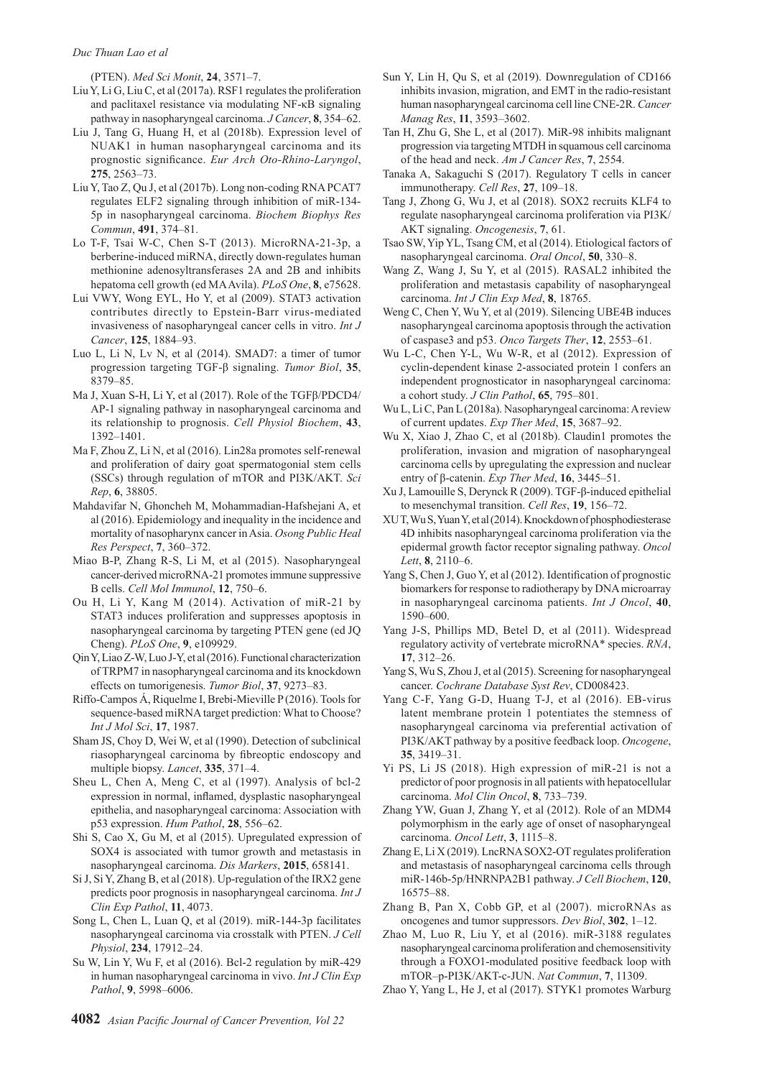(PTEN). *Med Sci Monit*, **24**, 3571–7.

- Liu Y, Li G, Liu C, et al (2017a). RSF1 regulates the proliferation and paclitaxel resistance via modulating NF-κB signaling pathway in nasopharyngeal carcinoma. *J Cancer*, **8**, 354–62.
- Liu J, Tang G, Huang H, et al (2018b). Expression level of NUAK1 in human nasopharyngeal carcinoma and its prognostic significance. *Eur Arch Oto-Rhino-Laryngol*, **275**, 2563–73.
- Liu Y, Tao Z, Qu J, et al (2017b). Long non-coding RNA PCAT7 regulates ELF2 signaling through inhibition of miR-134- 5p in nasopharyngeal carcinoma. *Biochem Biophys Res Commun*, **491**, 374–81.
- Lo T-F, Tsai W-C, Chen S-T (2013). MicroRNA-21-3p, a berberine-induced miRNA, directly down-regulates human methionine adenosyltransferases 2A and 2B and inhibits hepatoma cell growth (ed MA Avila). *PLoS One*, **8**, e75628.
- Lui VWY, Wong EYL, Ho Y, et al (2009). STAT3 activation contributes directly to Epstein-Barr virus-mediated invasiveness of nasopharyngeal cancer cells in vitro. *Int J Cancer*, **125**, 1884–93.
- Luo L, Li N, Lv N, et al (2014). SMAD7: a timer of tumor progression targeting TGF-β signaling. *Tumor Biol*, **35**, 8379–85.
- Ma J, Xuan S-H, Li Y, et al (2017). Role of the TGFβ/PDCD4/ AP-1 signaling pathway in nasopharyngeal carcinoma and its relationship to prognosis. *Cell Physiol Biochem*, **43**, 1392–1401.
- Ma F, Zhou Z, Li N, et al (2016). Lin28a promotes self-renewal and proliferation of dairy goat spermatogonial stem cells (SSCs) through regulation of mTOR and PI3K/AKT. *Sci Rep*, **6**, 38805.
- Mahdavifar N, Ghoncheh M, Mohammadian-Hafshejani A, et al (2016). Epidemiology and inequality in the incidence and mortality of nasopharynx cancer in Asia. *Osong Public Heal Res Perspect*, **7**, 360–372.
- Miao B-P, Zhang R-S, Li M, et al (2015). Nasopharyngeal cancer-derived microRNA-21 promotes immune suppressive B cells. *Cell Mol Immunol*, **12**, 750–6.
- Ou H, Li Y, Kang M (2014). Activation of miR-21 by STAT3 induces proliferation and suppresses apoptosis in nasopharyngeal carcinoma by targeting PTEN gene (ed JQ Cheng). *PLoS One*, **9**, e109929.
- Qin Y, Liao Z-W, Luo J-Y, et al (2016). Functional characterization of TRPM7 in nasopharyngeal carcinoma and its knockdown effects on tumorigenesis. *Tumor Biol*, **37**, 9273–83.
- Riffo-Campos Á, Riquelme I, Brebi-Mieville P (2016). Tools for sequence-based miRNA target prediction: What to Choose? *Int J Mol Sci*, **17**, 1987.
- Sham JS, Choy D, Wei W, et al (1990). Detection of subclinical riasopharyngeal carcinoma by fibreoptic endoscopy and multiple biopsy. *Lancet*, **335**, 371–4.
- Sheu L, Chen A, Meng C, et al (1997). Analysis of bcl-2 expression in normal, inflamed, dysplastic nasopharyngeal epithelia, and nasopharyngeal carcinoma: Association with p53 expression. *Hum Pathol*, **28**, 556–62.
- Shi S, Cao X, Gu M, et al (2015). Upregulated expression of SOX4 is associated with tumor growth and metastasis in nasopharyngeal carcinoma. *Dis Markers*, **2015**, 658141.
- Si J, Si Y, Zhang B, et al (2018). Up-regulation of the IRX2 gene predicts poor prognosis in nasopharyngeal carcinoma. *Int J Clin Exp Pathol*, **11**, 4073.
- Song L, Chen L, Luan Q, et al (2019). miR-144-3p facilitates nasopharyngeal carcinoma via crosstalk with PTEN. *J Cell Physiol*, **234**, 17912–24.
- Su W, Lin Y, Wu F, et al (2016). Bcl-2 regulation by miR-429 in human nasopharyngeal carcinoma in vivo. *Int J Clin Exp Pathol*, **9**, 5998–6006.
- Sun Y, Lin H, Qu S, et al (2019). Downregulation of CD166 inhibits invasion, migration, and EMT in the radio-resistant human nasopharyngeal carcinoma cell line CNE-2R. *Cancer Manag Res*, **11**, 3593–3602.
- Tan H, Zhu G, She L, et al (2017). MiR-98 inhibits malignant progression via targeting MTDH in squamous cell carcinoma of the head and neck. *Am J Cancer Res*, **7**, 2554.
- Tanaka A, Sakaguchi S (2017). Regulatory T cells in cancer immunotherapy. *Cell Res*, **27**, 109–18.
- Tang J, Zhong G, Wu J, et al (2018). SOX2 recruits KLF4 to regulate nasopharyngeal carcinoma proliferation via PI3K/ AKT signaling. *Oncogenesis*, **7**, 61.
- Tsao SW, Yip YL, Tsang CM, et al (2014). Etiological factors of nasopharyngeal carcinoma. *Oral Oncol*, **50**, 330–8.
- Wang Z, Wang J, Su Y, et al (2015). RASAL2 inhibited the proliferation and metastasis capability of nasopharyngeal carcinoma. *Int J Clin Exp Med*, **8**, 18765.
- Weng C, Chen Y, Wu Y, et al (2019). Silencing UBE4B induces nasopharyngeal carcinoma apoptosis through the activation of caspase3 and p53. *Onco Targets Ther*, **12**, 2553–61.
- Wu L-C, Chen Y-L, Wu W-R, et al (2012). Expression of cyclin-dependent kinase 2-associated protein 1 confers an independent prognosticator in nasopharyngeal carcinoma: a cohort study. *J Clin Pathol*, **65**, 795–801.
- Wu L, Li C, Pan L (2018a). Nasopharyngeal carcinoma: A review of current updates. *Exp Ther Med*, **15**, 3687–92.
- Wu X, Xiao J, Zhao C, et al (2018b). Claudin1 promotes the proliferation, invasion and migration of nasopharyngeal carcinoma cells by upregulating the expression and nuclear entry of β‑catenin. *Exp Ther Med*, **16**, 3445–51.
- Xu J, Lamouille S, Derynck R (2009). TGF-β-induced epithelial to mesenchymal transition. *Cell Res*, **19**, 156–72.
- XU T, Wu S, Yuan Y, et al (2014). Knockdown of phosphodiesterase 4D inhibits nasopharyngeal carcinoma proliferation via the epidermal growth factor receptor signaling pathway. *Oncol Lett*, **8**, 2110–6.
- Yang S, Chen J, Guo Y, et al (2012). Identification of prognostic biomarkers for response to radiotherapy by DNA microarray in nasopharyngeal carcinoma patients. *Int J Oncol*, **40**, 1590–600.
- Yang J-S, Phillips MD, Betel D, et al (2011). Widespread regulatory activity of vertebrate microRNA\* species. *RNA*, **17**, 312–26.
- Yang S, Wu S, Zhou J, et al (2015). Screening for nasopharyngeal cancer. *Cochrane Database Syst Rev*, CD008423.
- Yang C-F, Yang G-D, Huang T-J, et al (2016). EB-virus latent membrane protein 1 potentiates the stemness of nasopharyngeal carcinoma via preferential activation of PI3K/AKT pathway by a positive feedback loop. *Oncogene*, **35**, 3419–31.
- Yi PS, Li JS (2018). High expression of miR-21 is not a predictor of poor prognosis in all patients with hepatocellular carcinoma. *Mol Clin Oncol*, **8**, 733–739.
- Zhang YW, Guan J, Zhang Y, et al (2012). Role of an MDM4 polymorphism in the early age of onset of nasopharyngeal carcinoma. *Oncol Lett*, **3**, 1115–8.
- Zhang E, Li X (2019). LncRNA SOX2-OT regulates proliferation and metastasis of nasopharyngeal carcinoma cells through miR-146b-5p/HNRNPA2B1 pathway. *J Cell Biochem*, **120**, 16575–88.
- Zhang B, Pan X, Cobb GP, et al (2007). microRNAs as oncogenes and tumor suppressors. *Dev Biol*, **302**, 1–12.
- Zhao M, Luo R, Liu Y, et al (2016). miR-3188 regulates nasopharyngeal carcinoma proliferation and chemosensitivity through a FOXO1-modulated positive feedback loop with mTOR–p-PI3K/AKT-c-JUN. *Nat Commun*, **7**, 11309.
- Zhao Y, Yang L, He J, et al (2017). STYK1 promotes Warburg